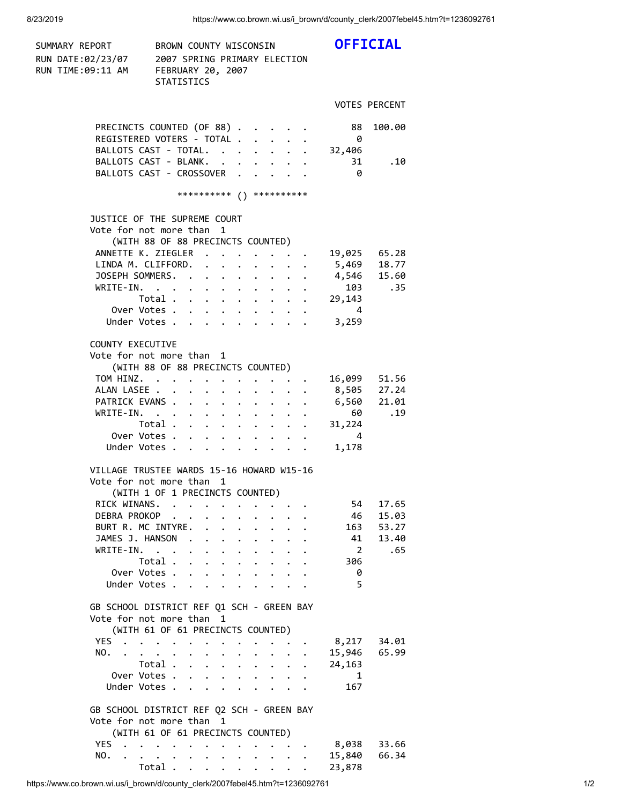SUMMARY REPORT BROWN COUNTY WISCONSIN **OFFICIAL** RUN DATE:02/23/07 2007 SPRING PRIMARY ELECTION RUN TIME:09:11 AM FEBRUARY 20, 2007 STATISTICS VOTES PERCENT PRECINCTS COUNTED (OF 88) . . . . . 88 100.00 REGISTERED VOTERS - TOTAL . . . . . 0 BALLOTS CAST - TOTAL. . . . . . . 32,406 BALLOTS CAST - BLANK. . . . . . . 31 .10 BALLOTS CAST - CROSSOVER . . . . . 0 \*\*\*\*\*\*\*\*\*\* () \*\*\*\*\*\*\*\*\*\* JUSTICE OF THE SUPREME COURT Vote for not more than 1 (WITH 88 OF 88 PRECINCTS COUNTED) ANNETTE K. ZIEGLER . . . . . . . 19,025 65.28 LINDA M. CLIFFORD. . . . . . . . 5,469 18.77 JOSEPH SOMMERS. . . . . . . . . . 4,546 15.60 WRITE-IN. . . . . . . . . . . 103 .35 Total . . . . . . . . . 29,143 Over Votes . . . . . . . . . . 4 Under Votes . . . . . . . . . . 3,259 COUNTY EXECUTIVE Vote for not more than 1 (WITH 88 OF 88 PRECINCTS COUNTED) TOM HINZ. . . . . . . . . . . 16,099 51.56 ALAN LASEE . . . . . . . . . . 8,505 27.24 PATRICK EVANS . . . . . . . . . 6,560 21.01 WRITE-IN. . . . . . . . . . . 60 .19 Total . . . . . . . . . 31,224 Over Votes . . . . . . . . . . 4 Under Votes . . . . . . . . . 1,178 VILLAGE TRUSTEE WARDS 15-16 HOWARD W15-16 Vote for not more than 1 (WITH 1 OF 1 PRECINCTS COUNTED) RICK WINANS. . . . . . . . . . . 54 17.65 DEBRA PROKOP . . . . . . . . . 46 15.03 BURT R. MC INTYRE. . . . . . . . 163 53.27 JAMES J. HANSON . . . . . . . . . 41 13.40 WRITE-IN. . . . . . . . . . . . 2 .65 Total . . . . . . . . . 306 Over Votes . . . . . . . . . . 0 Under Votes . . . . . . . . . . 5 GB SCHOOL DISTRICT REF Q1 SCH - GREEN BAY Vote for not more than 1 (WITH 61 OF 61 PRECINCTS COUNTED) YES . . . . . . . . . . . . 8,217 34.01 NO. . . . . . . . . . . . . 15,946 65.99 Total . . . . . . . . . 24,163 Over Votes . . . . . . . . . . 1 Under Votes . . . . . . . . . 167 GB SCHOOL DISTRICT REF Q2 SCH - GREEN BAY Vote for not more than 1 (WITH 61 OF 61 PRECINCTS COUNTED) YES . . . . . . . . . . . . 8,038 33.66 NO. . . . . . . . . . . . . 15,840 66.34 Total . . . . . . . . . 23,878

https://www.co.brown.wi.us/i\_brown/d/county\_clerk/2007febel45.htm?t=1236092761 1/2